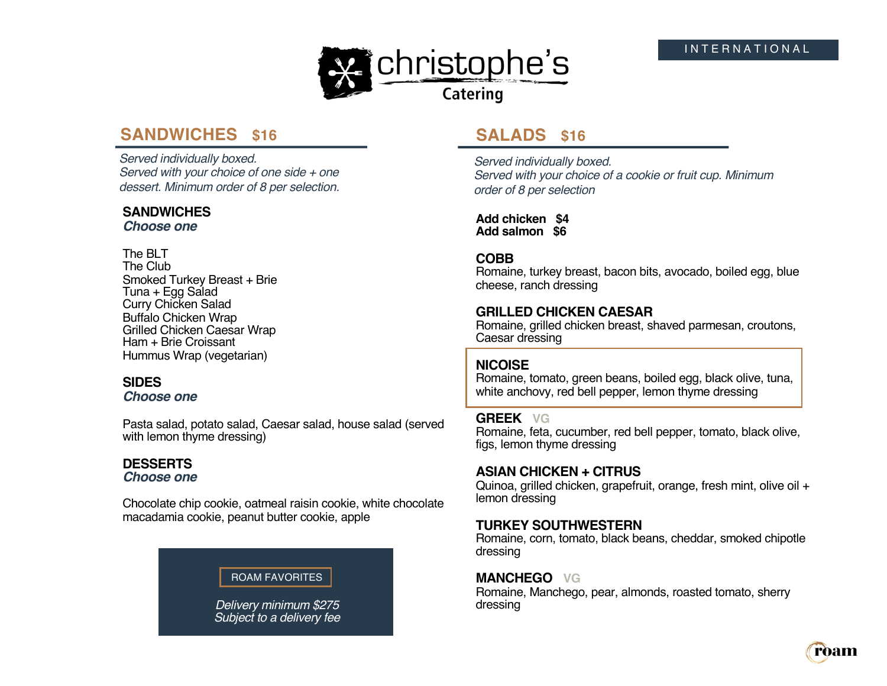

# **SANDWICHES \$16**

*Served individually boxed. Served with your choice of one side + one dessert. Minimum order of 8 per selection.* 

## **SANDWICHES**

*Choose one*

#### The BLT The Club

Smoked Turkey Breast + Brie Tuna + Egg Salad Curry Chicken Salad Buffalo Chicken Wrap Grilled Chicken Caesar Wrap Ham + Brie Croissant Hummus Wrap (vegetarian)

## **SIDES**

*Choose one*

Pasta salad, potato salad, Caesar salad, house salad (served with lemon thyme dressing)

# **DESSERTS**

*Choose one*

Chocolate chip cookie, oatmeal raisin cookie, white chocolate macadamia cookie, peanut butter cookie, apple

## ROAM FAVORITES

*Delivery minimum \$275 Subject to a delivery fee* 

# **SALADS \$16**

*Served individually boxed. Served with your choice of a cookie or fruit cup. Minimum order of 8 per selection* 

**Add chicken \$4 Add salmon \$6**

#### **COBB**

Romaine, turkey breast, bacon bits, avocado, boiled egg, blue cheese, ranch dressing

#### **GRILLED CHICKEN CAESAR**

Romaine, grilled chicken breast, shaved parmesan, croutons, Caesar dressing

## **NICOISE**

Romaine, tomato, green beans, boiled egg, black olive, tuna, white anchovy, red bell pepper, lemon thyme dressing

#### **GREEK VG**

Romaine, feta, cucumber, red bell pepper, tomato, black olive, figs, lemon thyme dressing

## **ASIAN CHICKEN + CITRUS**

Quinoa, grilled chicken, grapefruit, orange, fresh mint, olive oil + lemon dressing

## **TURKEY SOUTHWESTERN**

Romaine, corn, tomato, black beans, cheddar, smoked chipotle dressing

#### **MANCHEGO VG**

Romaine, Manchego, pear, almonds, roasted tomato, sherry dressing

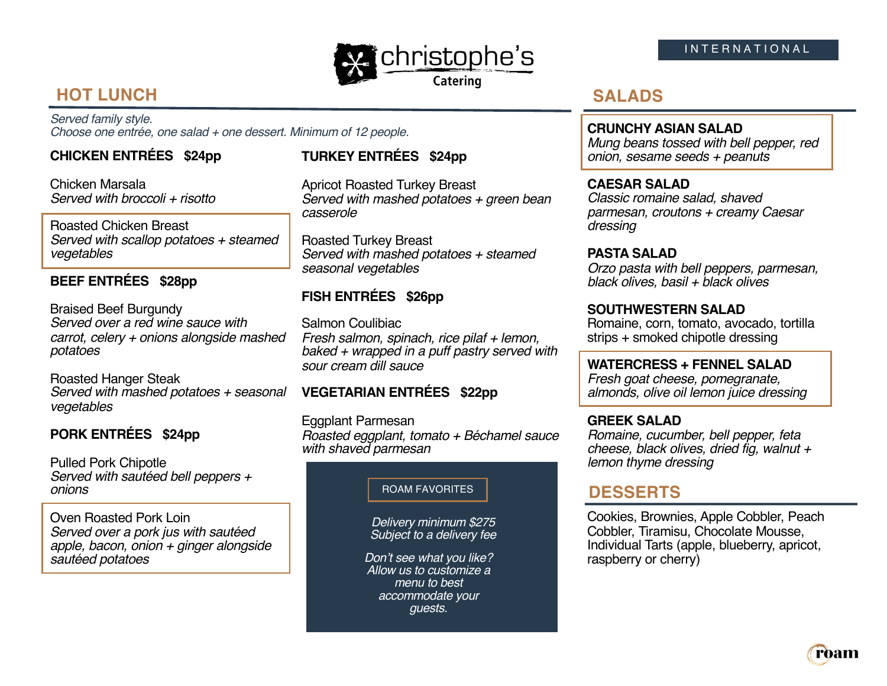

#### INTERNATIONAL

# **HOT LUNCH**

*Served family style. Choose one entrée, one salad + one dessert. Minimum of 12 people.*

## **CHICKEN ENTRÉES \$24pp**

Chicken Marsala *Served with broccoli + risotto*

Roasted Chicken Breast *Served with scallop potatoes + steamed vegetables*

#### **BEEF ENTRÉES \$28pp**

Braised Beef Burgundy *Served over a red wine sauce with carrot, celery + onions alongside mashed potatoes*

Roasted Hanger Steak *Served with mashed potatoes + seasonal*  **VEGETARIAN ENTRÉES \$22pp** *vegetables*

## **PORK ENTRÉES \$24pp**

Pulled Pork Chipotle *Served with sautéed bell peppers + onions*

Oven Roasted Pork Loin *Served over a pork jus with sautéed apple, bacon, onion + ginger alongside sautéed potatoes*

## **TURKEY ENTRÉES \$24pp**

Apricot Roasted Turkey Breast *Served with mashed potatoes + green bean casserole*

Roasted Turkey Breast *Served with mashed potatoes + steamed seasonal vegetables*

## **FISH ENTRÉES \$26pp**

Salmon Coulibiac *Fresh salmon, spinach, rice pilaf + lemon, baked + wrapped in a puff pastry served with sour cream dill sauce*

Eggplant Parmesan *Roasted eggplant, tomato + Béchamel sauce with shaved parmesan*

#### ROAM FAVORITES

*Delivery minimum \$275 Subject to a delivery fee* 

*Don't see what you like? Allow us to customize a menu to best accommodate your guests.*

# **SALADS**

#### **CRUNCHY ASIAN SALAD**

*Mung beans tossed with bell pepper, red onion, sesame seeds + peanuts*

#### **CAESAR SALAD**

*Classic romaine salad, shaved parmesan, croutons + creamy Caesar dressing*

#### **PASTA SALAD**

*Orzo pasta with bell peppers, parmesan, black olives, basil + black olives*

#### **SOUTHWESTERN SALAD**

Romaine, corn, tomato, avocado, tortilla strips + smoked chipotle dressing

#### **WATERCRESS + FENNEL SALAD**

*Fresh goat cheese, pomegranate, almonds, olive oil lemon juice dressing*

#### **GREEK SALAD**

*Romaine, cucumber, bell pepper, feta cheese, black olives, dried fig, walnut + lemon thyme dressing*

## **DESSERTS**

Cookies, Brownies, Apple Cobbler, Peach Cobbler, Tiramisu, Chocolate Mousse, Individual Tarts (apple, blueberry, apricot, raspberry or cherry)